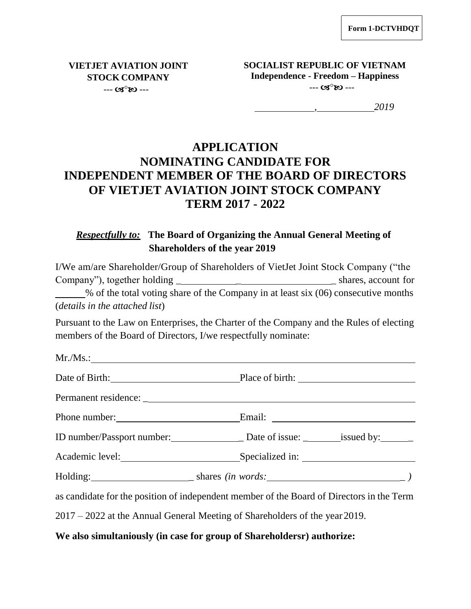**VIETJET AVIATION JOINT STOCK COMPANY**  $- - \alpha s^{\circ}$   $\infty$  ---

**SOCIALIST REPUBLIC OF VIETNAM Independence - Freedom – Happiness**  $- - G S^0 R$ 

*, 2019*

# **APPLICATION NOMINATING CANDIDATE FOR INDEPENDENT MEMBER OF THE BOARD OF DIRECTORS OF VIETJET AVIATION JOINT STOCK COMPANY TERM 2017 - 2022**

## *Respectfully to:* **The Board of Organizing the Annual General Meeting of Shareholders of the year 2019**

I/We am/are Shareholder/Group of Shareholders of VietJet Joint Stock Company ("the Company"), together holding \_ \_ \_ shares, account for % of the total voting share of the Company in at least six (06) consecutive months (*details in the attached list*)

Pursuant to the Law on Enterprises, the Charter of the Company and the Rules of electing members of the Board of Directors, I/we respectfully nominate:

| Date of Birth: Place of birth: Place of birth:                                            |  |
|-------------------------------------------------------------------------------------------|--|
|                                                                                           |  |
|                                                                                           |  |
| ID number/Passport number: Date of issue: _________ issued by:                            |  |
|                                                                                           |  |
|                                                                                           |  |
| as candidate for the position of independent member of the Board of Directors in the Term |  |
| $2017 - 2022$ at the Annual General Meeting of Shareholders of the year 2019.             |  |
|                                                                                           |  |

### **We also simultaniously (in case for group of Shareholdersr) authorize:**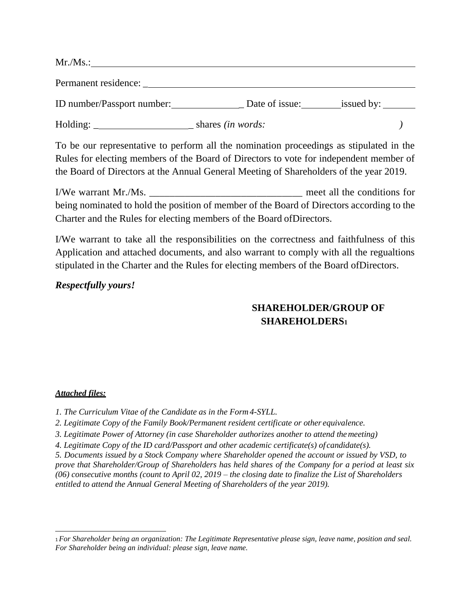| $Mr.Ms.$ :                 |                          |            |  |
|----------------------------|--------------------------|------------|--|
| Permanent residence:       |                          |            |  |
| ID number/Passport number: | Date of issue:           | issued by: |  |
| Holding:                   | shares <i>(in words:</i> |            |  |

To be our representative to perform all the nomination proceedings as stipulated in the Rules for electing members of the Board of Directors to vote for independent member of the Board of Directors at the Annual General Meeting of Shareholders of the year 2019.

I/We warrant Mr./Ms. The conditions for the conditions for the conditions for the conditions for the conditions for being nominated to hold the position of member of the Board of Directors according to the Charter and the Rules for electing members of the Board ofDirectors.

I/We warrant to take all the responsibilities on the correctness and faithfulness of this Application and attached documents, and also warrant to comply with all the regualtions stipulated in the Charter and the Rules for electing members of the Board ofDirectors.

#### *Respectfully yours!*

## **SHAREHOLDER/GROUP OF SHAREHOLDERS<sup>1</sup>**

#### *Attached files:*

*1. The Curriculum Vitae of the Candidate as in the Form 4-SYLL.*

2. Legitimate Copy of the Family Book/Permanent resident certificate or other equivalence.

*3. Legitimate Power of Attorney (in case Shareholder authorizes another to attend themeeting)*

*4. Legitimate Copy of the ID card/Passport and other academic certificate(s) of candidate(s).*

*5. Documents issued by a Stock Company where Shareholder opened the account or issued by VSD, to prove that Shareholder/Group of Shareholders has held shares of the Company for a period at least six (06) consecutive months (count to April 02, 2019 – the closing date to finalize the List of Shareholders entitled to attend the Annual General Meeting of Shareholders of the year 2019).*

<sup>1</sup>*For Shareholder being an organization: The Legitimate Representative please sign, leave name, position and seal. For Shareholder being an individual: please sign, leave name.*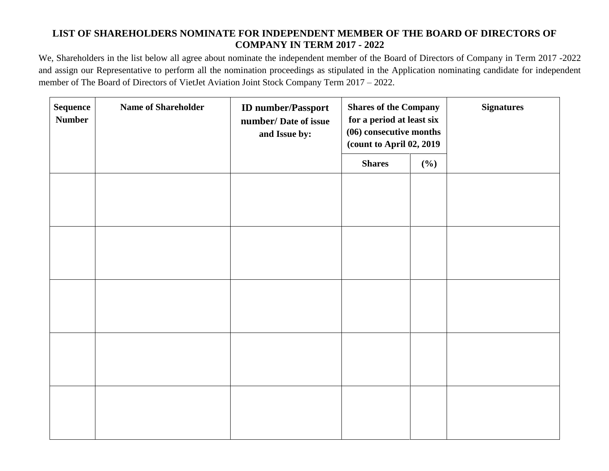### **LIST OF SHAREHOLDERS NOMINATE FOR INDEPENDENT MEMBER OF THE BOARD OF DIRECTORS OF COMPANY IN TERM 2017 - 2022**

We, Shareholders in the list below all agree about nominate the independent member of the Board of Directors of Company in Term 2017 -2022 and assign our Representative to perform all the nomination proceedings as stipulated in the Application nominating candidate for independent member of The Board of Directors of VietJet Aviation Joint Stock Company Term 2017 – 2022.

| <b>Sequence</b><br><b>Number</b> | <b>Name of Shareholder</b> | <b>ID</b> number/Passport<br>number/ Date of issue<br>and Issue by: | <b>Shares of the Company</b><br>for a period at least six<br>(06) consecutive months<br>(count to April 02, 2019) |     | <b>Signatures</b> |
|----------------------------------|----------------------------|---------------------------------------------------------------------|-------------------------------------------------------------------------------------------------------------------|-----|-------------------|
|                                  |                            |                                                                     | <b>Shares</b>                                                                                                     | (%) |                   |
|                                  |                            |                                                                     |                                                                                                                   |     |                   |
|                                  |                            |                                                                     |                                                                                                                   |     |                   |
|                                  |                            |                                                                     |                                                                                                                   |     |                   |
|                                  |                            |                                                                     |                                                                                                                   |     |                   |
|                                  |                            |                                                                     |                                                                                                                   |     |                   |
|                                  |                            |                                                                     |                                                                                                                   |     |                   |
|                                  |                            |                                                                     |                                                                                                                   |     |                   |
|                                  |                            |                                                                     |                                                                                                                   |     |                   |
|                                  |                            |                                                                     |                                                                                                                   |     |                   |
|                                  |                            |                                                                     |                                                                                                                   |     |                   |